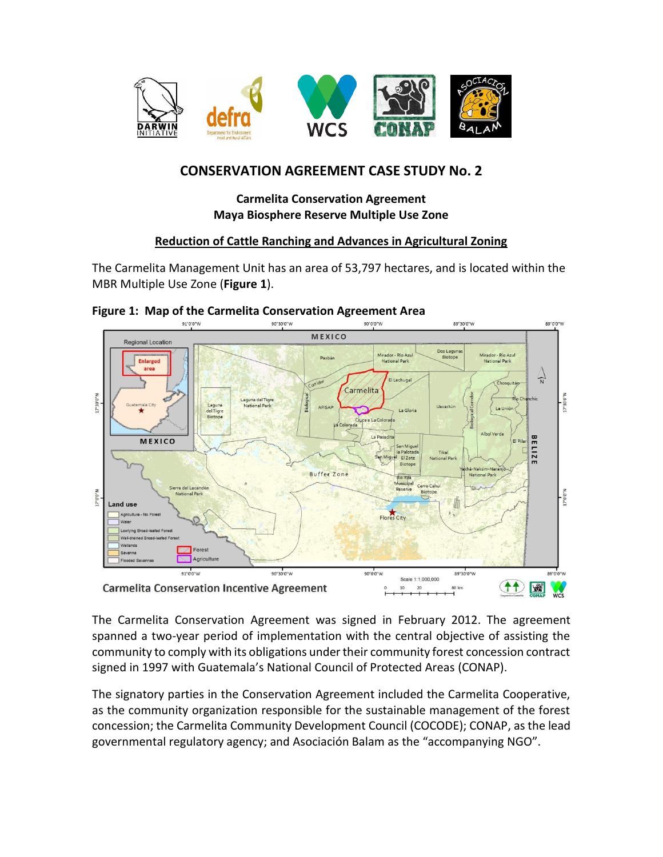

# **CONSERVATION AGREEMENT CASE STUDY No. 2**

# **Carmelita Conservation Agreement Maya Biosphere Reserve Multiple Use Zone**

### **Reduction of Cattle Ranching and Advances in Agricultural Zoning**

The Carmelita Management Unit has an area of 53,797 hectares, and is located within the MBR Multiple Use Zone (**Figure 1**).



#### **Figure 1: Map of the Carmelita Conservation Agreement Area**

The Carmelita Conservation Agreement was signed in February 2012. The agreement spanned a two-year period of implementation with the central objective of assisting the community to comply with its obligations under their community forest concession contract signed in 1997 with Guatemala's National Council of Protected Areas (CONAP).

The signatory parties in the Conservation Agreement included the Carmelita Cooperative, as the community organization responsible for the sustainable management of the forest concession; the Carmelita Community Development Council (COCODE); CONAP, as the lead governmental regulatory agency; and Asociación Balam as the "accompanying NGO".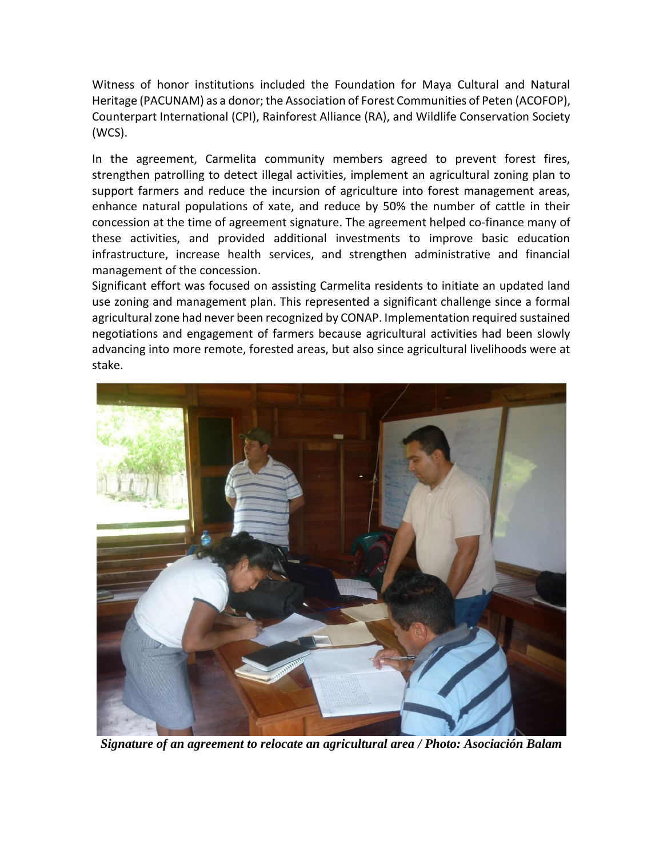Witness of honor institutions included the Foundation for Maya Cultural and Natural Heritage (PACUNAM) as a donor; the Association of Forest Communities of Peten (ACOFOP), Counterpart International (CPI), Rainforest Alliance (RA), and Wildlife Conservation Society (WCS).

In the agreement, Carmelita community members agreed to prevent forest fires, strengthen patrolling to detect illegal activities, implement an agricultural zoning plan to support farmers and reduce the incursion of agriculture into forest management areas, enhance natural populations of xate, and reduce by 50% the number of cattle in their concession at the time of agreement signature. The agreement helped co-finance many of these activities, and provided additional investments to improve basic education infrastructure, increase health services, and strengthen administrative and financial management of the concession.

Significant effort was focused on assisting Carmelita residents to initiate an updated land use zoning and management plan. This represented a significant challenge since a formal agricultural zone had never been recognized by CONAP. Implementation required sustained negotiations and engagement of farmers because agricultural activities had been slowly advancing into more remote, forested areas, but also since agricultural livelihoods were at stake.



*Signature of an agreement to relocate an agricultural area / Photo: Asociación Balam*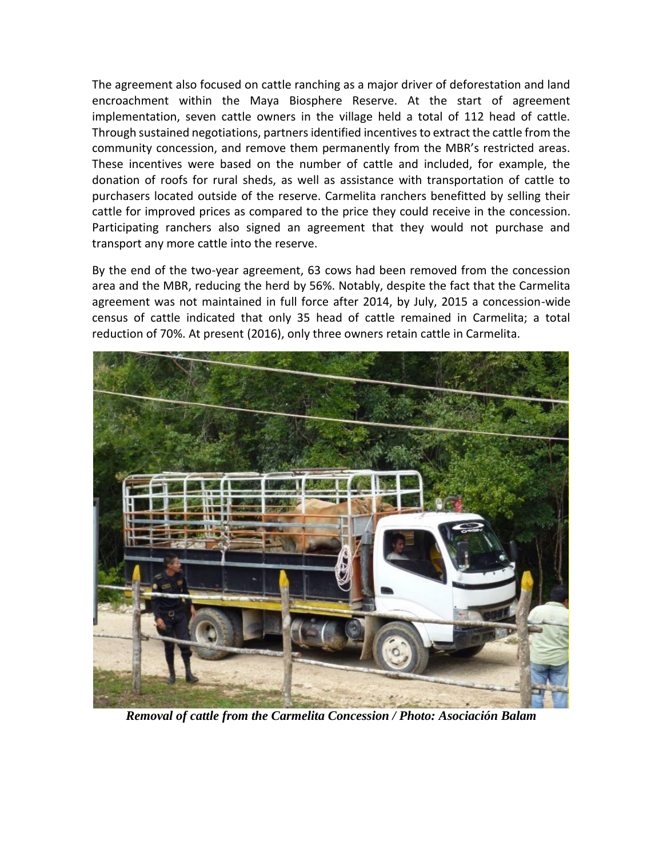The agreement also focused on cattle ranching as a major driver of deforestation and land encroachment within the Maya Biosphere Reserve. At the start of agreement implementation, seven cattle owners in the village held a total of 112 head of cattle. Through sustained negotiations, partnersidentified incentives to extract the cattle from the community concession, and remove them permanently from the MBR's restricted areas. These incentives were based on the number of cattle and included, for example, the donation of roofs for rural sheds, as well as assistance with transportation of cattle to purchasers located outside of the reserve. Carmelita ranchers benefitted by selling their cattle for improved prices as compared to the price they could receive in the concession. Participating ranchers also signed an agreement that they would not purchase and transport any more cattle into the reserve.

By the end of the two-year agreement, 63 cows had been removed from the concession area and the MBR, reducing the herd by 56%. Notably, despite the fact that the Carmelita agreement was not maintained in full force after 2014, by July, 2015 a concession-wide census of cattle indicated that only 35 head of cattle remained in Carmelita; a total reduction of 70%. At present (2016), only three owners retain cattle in Carmelita.



*Removal of cattle from the Carmelita Concession / Photo: Asociación Balam*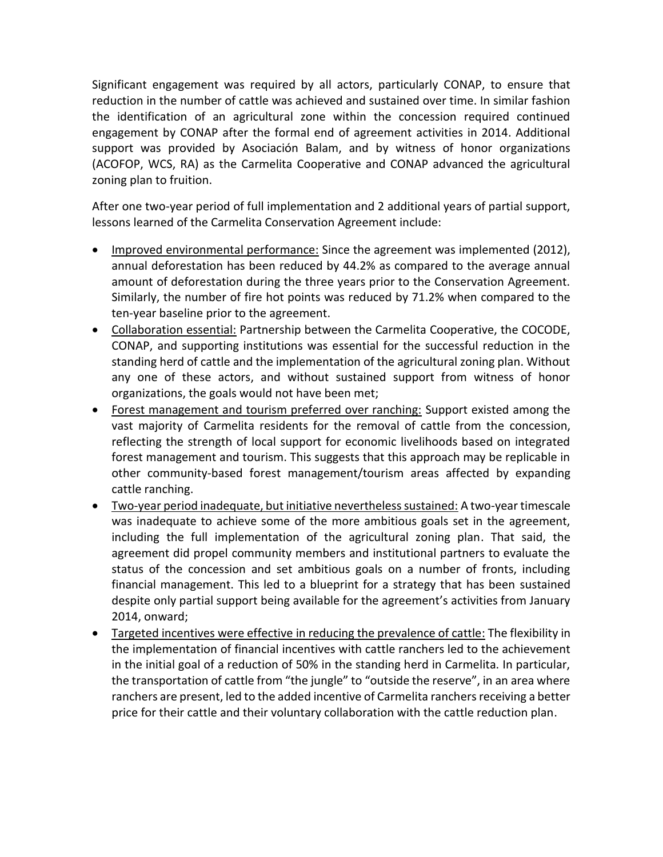Significant engagement was required by all actors, particularly CONAP, to ensure that reduction in the number of cattle was achieved and sustained over time. In similar fashion the identification of an agricultural zone within the concession required continued engagement by CONAP after the formal end of agreement activities in 2014. Additional support was provided by Asociación Balam, and by witness of honor organizations (ACOFOP, WCS, RA) as the Carmelita Cooperative and CONAP advanced the agricultural zoning plan to fruition.

After one two-year period of full implementation and 2 additional years of partial support, lessons learned of the Carmelita Conservation Agreement include:

- Improved environmental performance: Since the agreement was implemented (2012), annual deforestation has been reduced by 44.2% as compared to the average annual amount of deforestation during the three years prior to the Conservation Agreement. Similarly, the number of fire hot points was reduced by 71.2% when compared to the ten-year baseline prior to the agreement.
- Collaboration essential: Partnership between the Carmelita Cooperative, the COCODE, CONAP, and supporting institutions was essential for the successful reduction in the standing herd of cattle and the implementation of the agricultural zoning plan. Without any one of these actors, and without sustained support from witness of honor organizations, the goals would not have been met;
- Forest management and tourism preferred over ranching: Support existed among the vast majority of Carmelita residents for the removal of cattle from the concession, reflecting the strength of local support for economic livelihoods based on integrated forest management and tourism. This suggests that this approach may be replicable in other community-based forest management/tourism areas affected by expanding cattle ranching.
- Two-year period inadequate, but initiative nevertheless sustained: A two-year timescale was inadequate to achieve some of the more ambitious goals set in the agreement, including the full implementation of the agricultural zoning plan. That said, the agreement did propel community members and institutional partners to evaluate the status of the concession and set ambitious goals on a number of fronts, including financial management. This led to a blueprint for a strategy that has been sustained despite only partial support being available for the agreement's activities from January 2014, onward;
- Targeted incentives were effective in reducing the prevalence of cattle: The flexibility in the implementation of financial incentives with cattle ranchers led to the achievement in the initial goal of a reduction of 50% in the standing herd in Carmelita. In particular, the transportation of cattle from "the jungle" to "outside the reserve", in an area where ranchers are present, led to the added incentive of Carmelita ranchers receiving a better price for their cattle and their voluntary collaboration with the cattle reduction plan.